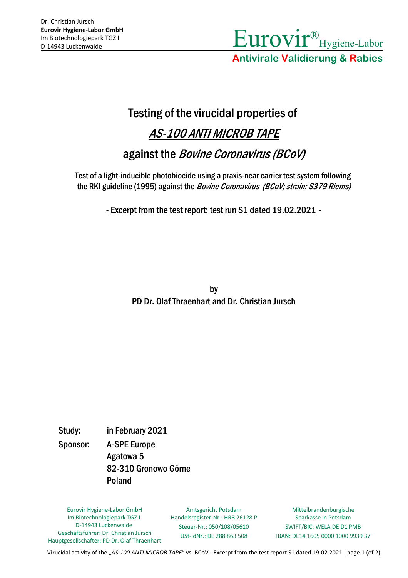

**Antivirale Validierung & Rabies**

# Testing of the virucidal properties of

# AS-100 ANTI MICROB TAPE

## against the *Bovine Coronavirus (BCoV)*

Test of a light-inducible photobiocide using a praxis-near carrier test system following the RKI guideline (1995) against the *Bovine Coronavirus (BCoV; strain: S379 Riems)* 

- Excerpt from the test report: test run S1 dated 19.02.2021 -

by PD Dr. Olaf Thraenhart and Dr. Christian Jursch

Study: in February 2021 Sponsor: A-SPE Europe Agatowa 5 82-310 Gronowo Górne Poland

Eurovir Hygiene-Labor GmbH Im Biotechnologiepark TGZ I D-14943 Luckenwalde Geschäftsführer: Dr. Christian Jursch Hauptgesellschafter: PD Dr. Olaf Thraenhart

Amtsgericht Potsdam Handelsregister-Nr.: HRB 26128 P Steuer-Nr.: 050/108/05610 USt-IdNr.: DE 288 863 508

Mittelbrandenburgische Sparkasse in Potsdam SWIFT/BIC: WELA DE D1 PMB IBAN: DE14 1605 0000 1000 9939 37

Virucidal activity of the "*AS-100 ANTI MICROB TAPE*" vs. BCoV - Excerpt from the test report S1 dated 19.02.2021 - page 1 (of 2)